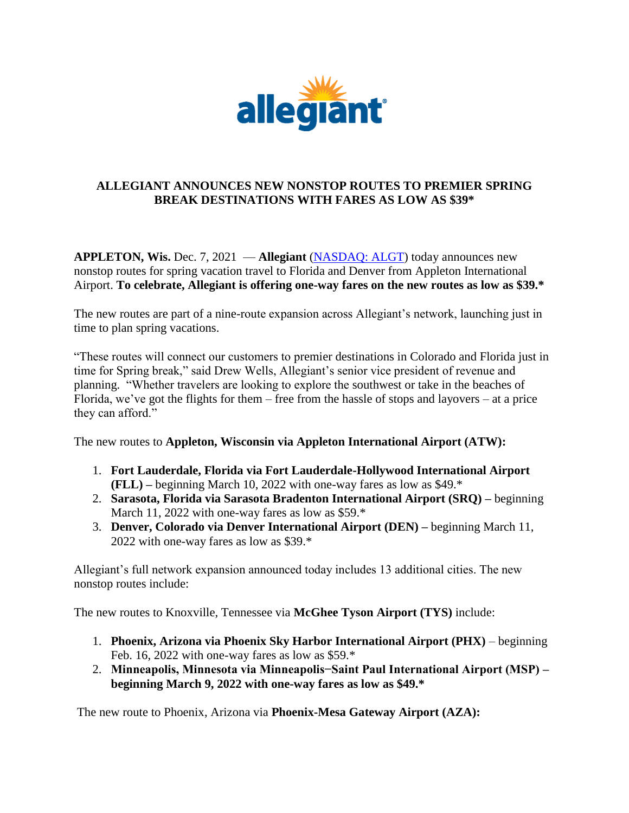

## **ALLEGIANT ANNOUNCES NEW NONSTOP ROUTES TO PREMIER SPRING BREAK DESTINATIONS WITH FARES AS LOW AS \$39\***

**APPLETON, Wis.** Dec. 7, 2021 — **Allegiant** [\(NASDAQ: ALGT\)](https://linkprotect.cudasvc.com/url?a=https%3a%2f%2fu7061146.ct.sendgrid.net%2fls%2fclick%3fupn%3dfqhy0MMaq18lyVSU5ZOY3UqARwwGlNuMFnxaLqnUVoT-2FHiSbFrhdnmJKXQ6EF8hs_6Rt_Qq67IX79a6oJKm6jW5kkhECbWJLHnfaTEAxPa1f86zqNc0Regi84NJ7HApbh3H54JtKZ7LENw2aSFJJFULOtn1yd-2FakME5gRFc-2FLmJB1l9v-2FROXaNw7NL4ah-2BYkrtuLVqg729UrLx-2Bk7rgWm5al4812Wz0NR1KqWhwpXUgVwtragFKXpSI93wJEsfGKo5wey8qcNrVnFPSg3q6U1n73B2SMtWy1xBnjjd9YbEfUOzi-2B4JFK4XL8YSzdGTMaWLG2Cz4lfFMAuV8GcuD7b2nWCn2Rz-2FL4o8oTKlIf-2F7GLpPTPgylwhmzHqOcVvlXk1swtBp-2Fh4GGIaKX5V-2FGa-2BYWDJBXZk-2BxceIzCWINo-2BzcUZa-2BQ-3D&c=E,1,6JhxfKgHWmv3gtc0TGvq7pnYFfLEGh13XSAQ3y5gOkC5mi8U648u2ysNk8WjSnk1tLnGq4JDKefhpAZ4q9SV3P5upBdCwSMeFWD4g6ACEZzKQBdNvosb&typo=1) today announces new nonstop routes for spring vacation travel to Florida and Denver from Appleton International Airport. **To celebrate, Allegiant is offering one-way fares on the new routes as low as \$39.\***

The new routes are part of a nine-route expansion across Allegiant's network, launching just in time to plan spring vacations.

"These routes will connect our customers to premier destinations in Colorado and Florida just in time for Spring break," said Drew Wells, Allegiant's senior vice president of revenue and planning. "Whether travelers are looking to explore the southwest or take in the beaches of Florida, we've got the flights for them – free from the hassle of stops and layovers – at a price they can afford."

The new routes to **Appleton, Wisconsin via Appleton International Airport (ATW):** 

- 1. **Fort Lauderdale, Florida via Fort Lauderdale-Hollywood International Airport (FLL) –** beginning March 10, 2022 with one-way fares as low as \$49.\*
- 2. **Sarasota, Florida via Sarasota Bradenton International Airport (SRQ) –** beginning March 11, 2022 with one-way fares as low as \$59.\*
- 3. **Denver, Colorado via Denver International Airport (DEN) –** beginning March 11, 2022 with one-way fares as low as \$39.\*

Allegiant's full network expansion announced today includes 13 additional cities. The new nonstop routes include:

The new routes to Knoxville, Tennessee via **McGhee Tyson Airport (TYS)** include:

- 1. **Phoenix, Arizona via Phoenix Sky Harbor International Airport (PHX)**  beginning Feb. 16, 2022 with one-way fares as low as \$59.\*
- 2. **Minneapolis, Minnesota via Minneapolis−Saint Paul International Airport (MSP) – beginning March 9, 2022 with one-way fares as low as \$49.\***

The new route to Phoenix, Arizona via **Phoenix-Mesa Gateway Airport (AZA):**